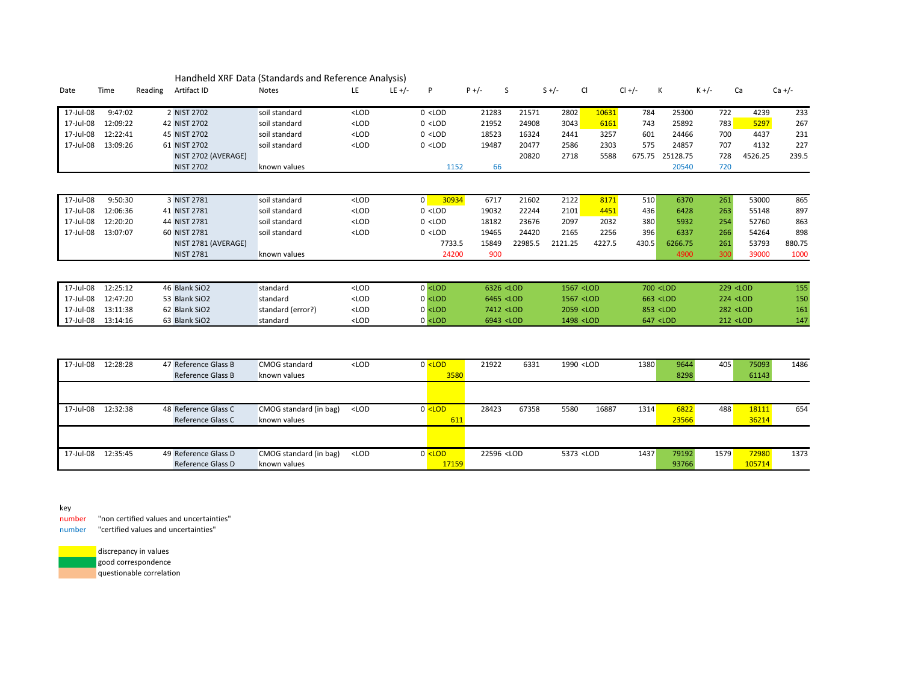|           |          |         |                     | Handheld XRF Data (Standards and Reference Analysis) |         |        |                                                                                                                                                                                                                            |         |                                                                                                                                                                                   |         |                                                                                                                                         |        |                                                                              |                                                                                      |                                                      |                         |            |
|-----------|----------|---------|---------------------|------------------------------------------------------|---------|--------|----------------------------------------------------------------------------------------------------------------------------------------------------------------------------------------------------------------------------|---------|-----------------------------------------------------------------------------------------------------------------------------------------------------------------------------------|---------|-----------------------------------------------------------------------------------------------------------------------------------------|--------|------------------------------------------------------------------------------|--------------------------------------------------------------------------------------|------------------------------------------------------|-------------------------|------------|
| Date      | Time     | Reading | Artifact ID         | Notes                                                | LE      | LE +/- | P                                                                                                                                                                                                                          | $P +/-$ | S                                                                                                                                                                                 |         | $S +/-$                                                                                                                                 | CI     | $Cl +/-$                                                                     | К                                                                                    | $K +/-$                                              | Ca                      | $Ca +/-$   |
| 17-Jul-08 | 9:47:02  |         | 2 NIST 2702         | soil standard                                        | $<$ LOD |        | $0$ <lod< td=""><td></td><td>21283</td><td>21571</td><td>2802</td><td>10631</td><td>784</td><td>25300</td><td>722</td><td>4239</td><td>233</td></lod<>                                                                     |         | 21283                                                                                                                                                                             | 21571   | 2802                                                                                                                                    | 10631  | 784                                                                          | 25300                                                                                | 722                                                  | 4239                    | 233        |
| 17-Jul-08 | 12:09:22 |         | 42 NIST 2702        | soil standard                                        | $<$ LOD |        | $0$ <lod< td=""><td></td><td>21952</td><td>24908</td><td>3043</td><td>6161</td><td>743</td><td>25892</td><td>783</td><td>5297</td><td>267</td></lod<>                                                                      |         | 21952                                                                                                                                                                             | 24908   | 3043                                                                                                                                    | 6161   | 743                                                                          | 25892                                                                                | 783                                                  | 5297                    | 267        |
| 17-Jul-08 | 12:22:41 |         | 45 NIST 2702        | soil standard                                        | $<$ LOD |        | $0$ <lod< td=""><td></td><td>18523</td><td>16324</td><td>2441</td><td>3257</td><td>601</td><td>24466</td><td>700</td><td>4437</td><td>231</td></lod<>                                                                      |         | 18523                                                                                                                                                                             | 16324   | 2441                                                                                                                                    | 3257   | 601                                                                          | 24466                                                                                | 700                                                  | 4437                    | 231        |
| 17-Jul-08 | 13:09:26 |         | 61 NIST 2702        | soil standard                                        | $<$ LOD |        | $0$ <lod< td=""><td></td><td>19487</td><td>20477</td><td>2586</td><td>2303</td><td>575</td><td>24857</td><td>707</td><td>4132</td><td>227</td></lod<>                                                                      |         | 19487                                                                                                                                                                             | 20477   | 2586                                                                                                                                    | 2303   | 575                                                                          | 24857                                                                                | 707                                                  | 4132                    | 227        |
|           |          |         | NIST 2702 (AVERAGE) |                                                      |         |        |                                                                                                                                                                                                                            |         |                                                                                                                                                                                   | 20820   | 2718                                                                                                                                    | 5588   | 675.75                                                                       | 25128.75                                                                             | 728                                                  | 4526.25                 | 239.5      |
|           |          |         | <b>NIST 2702</b>    | known values                                         |         |        | 1152                                                                                                                                                                                                                       |         | 66                                                                                                                                                                                |         |                                                                                                                                         |        |                                                                              | 20540                                                                                | 720                                                  |                         |            |
|           |          |         |                     |                                                      |         |        |                                                                                                                                                                                                                            |         |                                                                                                                                                                                   |         |                                                                                                                                         |        |                                                                              |                                                                                      |                                                      |                         |            |
|           |          |         |                     |                                                      |         |        |                                                                                                                                                                                                                            |         |                                                                                                                                                                                   |         |                                                                                                                                         |        |                                                                              |                                                                                      |                                                      |                         |            |
| 17-Jul-08 | 9:50:30  |         | 3 NIST 2781         | soil standard                                        | $<$ LOD |        | 30934<br>$\overline{0}$                                                                                                                                                                                                    |         | 6717                                                                                                                                                                              | 21602   | 2122                                                                                                                                    | 8171   | 510                                                                          | 6370                                                                                 | 261                                                  | 53000                   | 865        |
| 17-Jul-08 | 12:06:36 |         | 41 NIST 2781        | soil standard                                        | $<$ LOD |        | $0$ <lod< td=""><td></td><td>19032</td><td>22244</td><td>2101</td><td>4451</td><td>436</td><td>6428</td><td>263</td><td>55148</td><td>897</td></lod<>                                                                      |         | 19032                                                                                                                                                                             | 22244   | 2101                                                                                                                                    | 4451   | 436                                                                          | 6428                                                                                 | 263                                                  | 55148                   | 897        |
| 17-Jul-08 | 12:20:20 |         | 44 NIST 2781        | soil standard                                        | $<$ LOD |        | $0$ <lod< td=""><td></td><td>18182</td><td>23676</td><td>2097</td><td>2032</td><td>380</td><td>5932</td><td>254</td><td>52760</td><td>863</td></lod<>                                                                      |         | 18182                                                                                                                                                                             | 23676   | 2097                                                                                                                                    | 2032   | 380                                                                          | 5932                                                                                 | 254                                                  | 52760                   | 863        |
| 17-Jul-08 | 13:07:07 |         | 60 NIST 2781        | soil standard                                        | $<$ LOD |        | $0$ < LOD                                                                                                                                                                                                                  |         | 19465                                                                                                                                                                             | 24420   | 2165                                                                                                                                    | 2256   | 396                                                                          | 6337                                                                                 | 266                                                  | 54264                   | 898        |
|           |          |         | NIST 2781 (AVERAGE) |                                                      |         |        | 7733.5                                                                                                                                                                                                                     |         | 15849                                                                                                                                                                             | 22985.5 | 2121.25                                                                                                                                 | 4227.5 | 430.5                                                                        | 6266.75                                                                              | 261                                                  | 53793                   | 880.75     |
|           |          |         | <b>NIST 2781</b>    | known values                                         |         |        | 24200                                                                                                                                                                                                                      |         | 900                                                                                                                                                                               |         |                                                                                                                                         |        |                                                                              | 4900                                                                                 | 300                                                  | 39000                   | 1000       |
|           |          |         |                     |                                                      |         |        |                                                                                                                                                                                                                            |         |                                                                                                                                                                                   |         |                                                                                                                                         |        |                                                                              |                                                                                      |                                                      |                         |            |
|           |          |         |                     |                                                      |         |        |                                                                                                                                                                                                                            |         |                                                                                                                                                                                   |         |                                                                                                                                         |        |                                                                              |                                                                                      |                                                      |                         |            |
| 17-Jul-08 | 12:25:12 |         | 46 Blank SiO2       | standard                                             | $<$ LOD |        | $0$ <lod< td=""><td></td><td>6326 <lod< td=""><td></td><td>1567 <lod< td=""><td></td><td></td><td>700 <lod< td=""><td>229 <lod< td=""><td></td><td>155</td></lod<></td></lod<></td></lod<></td></lod<></td></lod<>         |         | 6326 <lod< td=""><td></td><td>1567 <lod< td=""><td></td><td></td><td>700 <lod< td=""><td>229 <lod< td=""><td></td><td>155</td></lod<></td></lod<></td></lod<></td></lod<>         |         | 1567 <lod< td=""><td></td><td></td><td>700 <lod< td=""><td>229 <lod< td=""><td></td><td>155</td></lod<></td></lod<></td></lod<>         |        |                                                                              | 700 <lod< td=""><td>229 <lod< td=""><td></td><td>155</td></lod<></td></lod<>         | 229 <lod< td=""><td></td><td>155</td></lod<>         |                         | 155        |
| 17-Jul-08 | 12:47:20 |         | 53 Blank SiO2       | standard                                             | $<$ LOD |        | $0$ <lod< td=""><td></td><td>6465 <lod< td=""><td></td><td>1567 <lod< td=""><td></td><td></td><td>663 <lod< td=""><td>224 <lod< td=""><td></td><td>150<br/>161</td></lod<></td></lod<></td></lod<></td></lod<></td></lod<> |         | 6465 <lod< td=""><td></td><td>1567 <lod< td=""><td></td><td></td><td>663 <lod< td=""><td>224 <lod< td=""><td></td><td>150<br/>161</td></lod<></td></lod<></td></lod<></td></lod<> |         | 1567 <lod< td=""><td></td><td></td><td>663 <lod< td=""><td>224 <lod< td=""><td></td><td>150<br/>161</td></lod<></td></lod<></td></lod<> |        |                                                                              | 663 <lod< td=""><td>224 <lod< td=""><td></td><td>150<br/>161</td></lod<></td></lod<> | 224 <lod< td=""><td></td><td>150<br/>161</td></lod<> |                         | 150<br>161 |
| 17-Jul-08 | 13:11:38 |         | 62 Blank SiO2       | standard (error?)                                    | $<$ LOD |        | $0$ <lod< td=""><td></td><td>7412 <lod< td=""><td></td><td>2059 <lod< td=""><td></td><td colspan="2">853 <lod< td=""><td></td><td colspan="2">282 <lod< td=""></lod<></td></lod<></td></lod<></td></lod<></td></lod<>      |         | 7412 <lod< td=""><td></td><td>2059 <lod< td=""><td></td><td colspan="2">853 <lod< td=""><td></td><td colspan="2">282 <lod< td=""></lod<></td></lod<></td></lod<></td></lod<>      |         | 2059 <lod< td=""><td></td><td colspan="2">853 <lod< td=""><td></td><td colspan="2">282 <lod< td=""></lod<></td></lod<></td></lod<>      |        | 853 <lod< td=""><td></td><td colspan="2">282 <lod< td=""></lod<></td></lod<> |                                                                                      |                                                      | 282 <lod< td=""></lod<> |            |
| 17-Jul-08 | 13:14:16 |         | 63 Blank SiO2       | standard                                             | $<$ LOD |        | $0$ <lod< td=""><td></td><td>6943 <lod< td=""><td></td><td>1498 <lod< td=""><td></td><td></td><td>647 <lod< td=""><td>212 <lod< td=""><td></td><td>147</td></lod<></td></lod<></td></lod<></td></lod<></td></lod<>         |         | 6943 <lod< td=""><td></td><td>1498 <lod< td=""><td></td><td></td><td>647 <lod< td=""><td>212 <lod< td=""><td></td><td>147</td></lod<></td></lod<></td></lod<></td></lod<>         |         | 1498 <lod< td=""><td></td><td></td><td>647 <lod< td=""><td>212 <lod< td=""><td></td><td>147</td></lod<></td></lod<></td></lod<>         |        |                                                                              | 647 <lod< td=""><td>212 <lod< td=""><td></td><td>147</td></lod<></td></lod<>         | 212 <lod< td=""><td></td><td>147</td></lod<>         |                         | 147        |
|           |          |         |                     |                                                      |         |        |                                                                                                                                                                                                                            |         |                                                                                                                                                                                   |         |                                                                                                                                         |        |                                                                              |                                                                                      |                                                      |                         |            |

| 17-Jul-08 | 12:28:28 | 47 Reference Glass B | CMOG standard          | <lod< th=""><th><math>0</math> <lod< th=""><th>21922</th><th>6331</th><th>1990 <lod< th=""><th></th><th>1380</th><th>9644</th><th>405</th><th>75093</th><th>1486</th></lod<></th></lod<></th></lod<>                   | $0$ <lod< th=""><th>21922</th><th>6331</th><th>1990 <lod< th=""><th></th><th>1380</th><th>9644</th><th>405</th><th>75093</th><th>1486</th></lod<></th></lod<>                   | 21922                                                                                                                                           | 6331  | 1990 <lod< th=""><th></th><th>1380</th><th>9644</th><th>405</th><th>75093</th><th>1486</th></lod<>   |       | 1380 | 9644  | 405  | 75093  | 1486 |
|-----------|----------|----------------------|------------------------|------------------------------------------------------------------------------------------------------------------------------------------------------------------------------------------------------------------------|---------------------------------------------------------------------------------------------------------------------------------------------------------------------------------|-------------------------------------------------------------------------------------------------------------------------------------------------|-------|------------------------------------------------------------------------------------------------------|-------|------|-------|------|--------|------|
|           |          | Reference Glass B    | known values           |                                                                                                                                                                                                                        | 3580                                                                                                                                                                            |                                                                                                                                                 |       |                                                                                                      |       |      | 8298  |      | 61143  |      |
|           |          |                      |                        |                                                                                                                                                                                                                        |                                                                                                                                                                                 |                                                                                                                                                 |       |                                                                                                      |       |      |       |      |        |      |
|           |          |                      |                        |                                                                                                                                                                                                                        |                                                                                                                                                                                 |                                                                                                                                                 |       |                                                                                                      |       |      |       |      |        |      |
| 17-Jul-08 | 12:32:38 | 48 Reference Glass C | CMOG standard (in bag) | <lod< td=""><td><math>0</math> <lod< td=""><td>28423</td><td>67358</td><td>5580</td><td>16887</td><td>1314</td><td>6822</td><td>488</td><td>18111</td><td>654</td></lod<></td></lod<>                                  | $0$ <lod< td=""><td>28423</td><td>67358</td><td>5580</td><td>16887</td><td>1314</td><td>6822</td><td>488</td><td>18111</td><td>654</td></lod<>                                  | 28423                                                                                                                                           | 67358 | 5580                                                                                                 | 16887 | 1314 | 6822  | 488  | 18111  | 654  |
|           |          | Reference Glass C    | known values           |                                                                                                                                                                                                                        | 611                                                                                                                                                                             |                                                                                                                                                 |       |                                                                                                      |       |      | 23566 |      | 36214  |      |
|           |          |                      |                        |                                                                                                                                                                                                                        |                                                                                                                                                                                 |                                                                                                                                                 |       |                                                                                                      |       |      |       |      |        |      |
|           |          |                      |                        |                                                                                                                                                                                                                        |                                                                                                                                                                                 |                                                                                                                                                 |       |                                                                                                      |       |      |       |      |        |      |
| 17-Jul-08 | 12:35:45 | 49 Reference Glass D | CMOG standard (in bag) | <lod< td=""><td><math>0</math> <lod< td=""><td>22596 <lod< td=""><td></td><td>5373 <lod< td=""><td></td><td>1437</td><td>79192</td><td>1579</td><td>72980</td><td>1373</td></lod<></td></lod<></td></lod<></td></lod<> | $0$ <lod< td=""><td>22596 <lod< td=""><td></td><td>5373 <lod< td=""><td></td><td>1437</td><td>79192</td><td>1579</td><td>72980</td><td>1373</td></lod<></td></lod<></td></lod<> | 22596 <lod< td=""><td></td><td>5373 <lod< td=""><td></td><td>1437</td><td>79192</td><td>1579</td><td>72980</td><td>1373</td></lod<></td></lod<> |       | 5373 <lod< td=""><td></td><td>1437</td><td>79192</td><td>1579</td><td>72980</td><td>1373</td></lod<> |       | 1437 | 79192 | 1579 | 72980  | 1373 |
|           |          | Reference Glass D    | known values           |                                                                                                                                                                                                                        | 17159                                                                                                                                                                           |                                                                                                                                                 |       |                                                                                                      |       |      | 93766 |      | 105714 |      |

key

number "non certified values and uncertainties"

number "certified values and uncertainties"

discrepancy in values good correspondence questionable correlation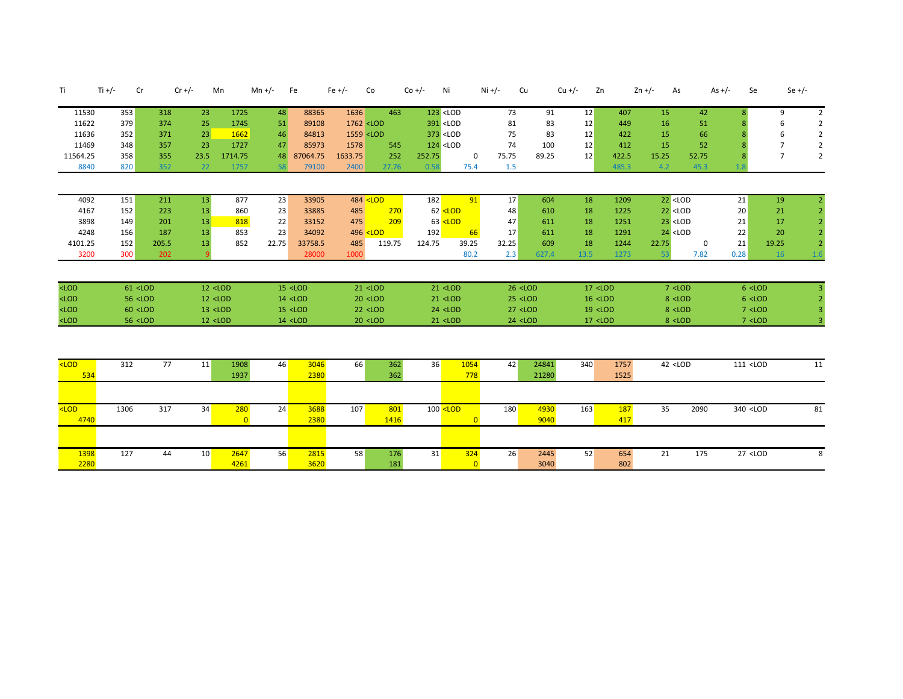| Τi             | Ti $+/-$ | Cr                                                                                                                                                                                                                                                                                                                                                                                                                                                                             | $Cr +/-$ | Mn                                                                                                                                                                                                                                                                                                                                                                                                                          |                | Mn +/- | Fe                                                                                                                                                                                                                                                                                                                                                            | $Fe +/-$                                                                                                                                                                                           | Co                                                                                                                                                                                                                                                                                                       | $Co +/-$ | Ni                                                                                                                                                                                                                                                  | $Ni +/-$   | Cu                                                                                                                                                                                             | $Cu +/-$ | Zn                                                                                                                                        | $2n +/-$                                                                     | As                                                                                   | As $+/-$<br>Se                              |                | Se $+/-$       |
|----------------|----------|--------------------------------------------------------------------------------------------------------------------------------------------------------------------------------------------------------------------------------------------------------------------------------------------------------------------------------------------------------------------------------------------------------------------------------------------------------------------------------|----------|-----------------------------------------------------------------------------------------------------------------------------------------------------------------------------------------------------------------------------------------------------------------------------------------------------------------------------------------------------------------------------------------------------------------------------|----------------|--------|---------------------------------------------------------------------------------------------------------------------------------------------------------------------------------------------------------------------------------------------------------------------------------------------------------------------------------------------------------------|----------------------------------------------------------------------------------------------------------------------------------------------------------------------------------------------------|----------------------------------------------------------------------------------------------------------------------------------------------------------------------------------------------------------------------------------------------------------------------------------------------------------|----------|-----------------------------------------------------------------------------------------------------------------------------------------------------------------------------------------------------------------------------------------------------|------------|------------------------------------------------------------------------------------------------------------------------------------------------------------------------------------------------|----------|-------------------------------------------------------------------------------------------------------------------------------------------|------------------------------------------------------------------------------|--------------------------------------------------------------------------------------|---------------------------------------------|----------------|----------------|
| 11530          | 353      | 318                                                                                                                                                                                                                                                                                                                                                                                                                                                                            |          | 23                                                                                                                                                                                                                                                                                                                                                                                                                          | 1725           | 48     | 88365                                                                                                                                                                                                                                                                                                                                                         | 1636                                                                                                                                                                                               | 463                                                                                                                                                                                                                                                                                                      |          | $123$ <lod< td=""><td>73</td><td>91</td><td>12</td><td>407</td><td>15</td><td>42</td><td></td><td>9</td><td><math>\overline{2}</math></td></lod<>                                                                                                   | 73         | 91                                                                                                                                                                                             | 12       | 407                                                                                                                                       | 15                                                                           | 42                                                                                   |                                             | 9              | $\overline{2}$ |
| 11622          | 379      | 374                                                                                                                                                                                                                                                                                                                                                                                                                                                                            |          | 25                                                                                                                                                                                                                                                                                                                                                                                                                          | 1745           | 51     | 89108                                                                                                                                                                                                                                                                                                                                                         | 1762 <lod< td=""><td></td><td></td><td>391 <lod< td=""><td>81</td><td>83</td><td>12</td><td>449</td><td>16</td><td>51</td><td></td><td></td><td><math>\overline{2}</math></td></lod<></td></lod<>  |                                                                                                                                                                                                                                                                                                          |          | 391 <lod< td=""><td>81</td><td>83</td><td>12</td><td>449</td><td>16</td><td>51</td><td></td><td></td><td><math>\overline{2}</math></td></lod<>                                                                                                      | 81         | 83                                                                                                                                                                                             | 12       | 449                                                                                                                                       | 16                                                                           | 51                                                                                   |                                             |                | $\overline{2}$ |
| 11636          | 352      | 371                                                                                                                                                                                                                                                                                                                                                                                                                                                                            |          | 23                                                                                                                                                                                                                                                                                                                                                                                                                          | 1662           | 46     | 84813                                                                                                                                                                                                                                                                                                                                                         | 1559 <lod< td=""><td></td><td></td><td>373 <lod< td=""><td>75</td><td>83</td><td>12</td><td>422</td><td>15</td><td>66</td><td></td><td>6</td><td><math>\overline{2}</math></td></lod<></td></lod<> |                                                                                                                                                                                                                                                                                                          |          | 373 <lod< td=""><td>75</td><td>83</td><td>12</td><td>422</td><td>15</td><td>66</td><td></td><td>6</td><td><math>\overline{2}</math></td></lod<>                                                                                                     | 75         | 83                                                                                                                                                                                             | 12       | 422                                                                                                                                       | 15                                                                           | 66                                                                                   |                                             | 6              | $\overline{2}$ |
| 11469          | 348      | 357                                                                                                                                                                                                                                                                                                                                                                                                                                                                            |          | 23                                                                                                                                                                                                                                                                                                                                                                                                                          | 1727           | 47     | 85973                                                                                                                                                                                                                                                                                                                                                         | 1578                                                                                                                                                                                               | 545                                                                                                                                                                                                                                                                                                      |          | $124$ <lod< td=""><td>74</td><td>100</td><td>12</td><td>412</td><td>15</td><td>52</td><td></td><td>7</td><td><math>\overline{2}</math></td></lod<>                                                                                                  | 74         | 100                                                                                                                                                                                            | 12       | 412                                                                                                                                       | 15                                                                           | 52                                                                                   |                                             | 7              | $\overline{2}$ |
| 11564.25       | 358      | 355                                                                                                                                                                                                                                                                                                                                                                                                                                                                            | 23.5     |                                                                                                                                                                                                                                                                                                                                                                                                                             | 1714.75        | 48     | 87064.75                                                                                                                                                                                                                                                                                                                                                      | 1633.75                                                                                                                                                                                            | 252                                                                                                                                                                                                                                                                                                      | 252.75   | 0                                                                                                                                                                                                                                                   | 75.75      | 89.25                                                                                                                                                                                          | 12       | 422.5                                                                                                                                     | 15.25                                                                        | 52.75                                                                                |                                             | $\overline{7}$ | $\overline{2}$ |
| 8840           | 820      | 352                                                                                                                                                                                                                                                                                                                                                                                                                                                                            |          | 22                                                                                                                                                                                                                                                                                                                                                                                                                          | 1757           | 58     | 79100                                                                                                                                                                                                                                                                                                                                                         | 2400                                                                                                                                                                                               | 27.76                                                                                                                                                                                                                                                                                                    | 0.58     | 75.4                                                                                                                                                                                                                                                | 1.5        |                                                                                                                                                                                                |          | 485.3                                                                                                                                     | 4.2                                                                          | 45.3                                                                                 |                                             |                |                |
|                |          |                                                                                                                                                                                                                                                                                                                                                                                                                                                                                |          |                                                                                                                                                                                                                                                                                                                                                                                                                             |                |        |                                                                                                                                                                                                                                                                                                                                                               |                                                                                                                                                                                                    |                                                                                                                                                                                                                                                                                                          |          |                                                                                                                                                                                                                                                     |            |                                                                                                                                                                                                |          |                                                                                                                                           |                                                                              |                                                                                      |                                             |                |                |
| 4092           | 151      | 211                                                                                                                                                                                                                                                                                                                                                                                                                                                                            |          | 13                                                                                                                                                                                                                                                                                                                                                                                                                          | 877            | 23     | 33905                                                                                                                                                                                                                                                                                                                                                         |                                                                                                                                                                                                    | 484 <lod< td=""><td>182</td><td>91</td><td>17</td><td>604</td><td>18</td><td>1209</td><td><math>22</math> <lod< td=""><td></td><td>21</td><td>19</td><td></td></lod<></td></lod<>                                                                                                                        | 182      | 91                                                                                                                                                                                                                                                  | 17         | 604                                                                                                                                                                                            | 18       | 1209                                                                                                                                      | $22$ <lod< td=""><td></td><td>21</td><td>19</td><td></td></lod<>             |                                                                                      | 21                                          | 19             |                |
| 4167           | 152      | 223                                                                                                                                                                                                                                                                                                                                                                                                                                                                            |          | 13                                                                                                                                                                                                                                                                                                                                                                                                                          | 860            | 23     | 33885                                                                                                                                                                                                                                                                                                                                                         | 485                                                                                                                                                                                                | 270                                                                                                                                                                                                                                                                                                      |          | $62$ <lod< td=""><td>48</td><td>610</td><td>18</td><td>1225</td><td><math>22</math> &lt; LOD</td><td></td><td>20</td><td>21</td><td></td></lod<>                                                                                                    | 48         | 610                                                                                                                                                                                            | 18       | 1225                                                                                                                                      | $22$ < LOD                                                                   |                                                                                      | 20                                          | 21             |                |
| 3898           | 149      | 201                                                                                                                                                                                                                                                                                                                                                                                                                                                                            |          | 13                                                                                                                                                                                                                                                                                                                                                                                                                          | 818            | 22     | 33152                                                                                                                                                                                                                                                                                                                                                         | 475                                                                                                                                                                                                | 209                                                                                                                                                                                                                                                                                                      |          | 63 <lod< td=""><td>47</td><td>611</td><td>18</td><td>1251</td><td><math>23</math> <lod< td=""><td></td><td>21</td><td>17</td><td></td></lod<></td></lod<>                                                                                           | 47         | 611                                                                                                                                                                                            | 18       | 1251                                                                                                                                      | $23$ <lod< td=""><td></td><td>21</td><td>17</td><td></td></lod<>             |                                                                                      | 21                                          | 17             |                |
| 4248           | 156      | 187                                                                                                                                                                                                                                                                                                                                                                                                                                                                            |          | 13                                                                                                                                                                                                                                                                                                                                                                                                                          | 853            | 23     | 34092                                                                                                                                                                                                                                                                                                                                                         |                                                                                                                                                                                                    | 496 <lod< td=""><td>192</td><td>66</td><td>17</td><td>611</td><td>18</td><td>1291</td><td><math>24</math> <lod< td=""><td></td><td>22</td><td>20</td><td></td></lod<></td></lod<>                                                                                                                        | 192      | 66                                                                                                                                                                                                                                                  | 17         | 611                                                                                                                                                                                            | 18       | 1291                                                                                                                                      | $24$ <lod< td=""><td></td><td>22</td><td>20</td><td></td></lod<>             |                                                                                      | 22                                          | 20             |                |
| 4101.25        | 152      | 205.5                                                                                                                                                                                                                                                                                                                                                                                                                                                                          |          | 13                                                                                                                                                                                                                                                                                                                                                                                                                          | 852            | 22.75  | 33758.5                                                                                                                                                                                                                                                                                                                                                       | 485                                                                                                                                                                                                | 119.75                                                                                                                                                                                                                                                                                                   | 124.75   | 39.25                                                                                                                                                                                                                                               | 32.25      | 609                                                                                                                                                                                            | 18       | 1244                                                                                                                                      | 22.75                                                                        | 0                                                                                    | 21                                          | 19.25          |                |
| 3200           | 300      | 202                                                                                                                                                                                                                                                                                                                                                                                                                                                                            |          |                                                                                                                                                                                                                                                                                                                                                                                                                             |                |        | 28000                                                                                                                                                                                                                                                                                                                                                         | 1000                                                                                                                                                                                               |                                                                                                                                                                                                                                                                                                          |          | 80.2                                                                                                                                                                                                                                                | 2.3        | 627.4                                                                                                                                                                                          | 13.5     | 1273                                                                                                                                      | 53                                                                           | 7.82                                                                                 | 0.28                                        | 16             |                |
|                |          |                                                                                                                                                                                                                                                                                                                                                                                                                                                                                |          |                                                                                                                                                                                                                                                                                                                                                                                                                             |                |        |                                                                                                                                                                                                                                                                                                                                                               |                                                                                                                                                                                                    |                                                                                                                                                                                                                                                                                                          |          |                                                                                                                                                                                                                                                     |            |                                                                                                                                                                                                |          |                                                                                                                                           |                                                                              |                                                                                      |                                             |                |                |
| $<$ LOD        |          | $61$ <lod< td=""><td></td><td><math>12</math> <lod< td=""><td></td><td></td><td><math>15</math> <lod< td=""><td></td><td><math>21</math> <lod< td=""><td></td><td><math>21</math> <lod< td=""><td></td><td><math>26</math> <lod< td=""><td></td><td><math>17</math> <lod< td=""><td></td><td><math>7</math> <lod< td=""><td><math>6</math> &lt; LOD</td><td></td><td></td></lod<></td></lod<></td></lod<></td></lod<></td></lod<></td></lod<></td></lod<></td></lod<>          |          | $12$ <lod< td=""><td></td><td></td><td><math>15</math> <lod< td=""><td></td><td><math>21</math> <lod< td=""><td></td><td><math>21</math> <lod< td=""><td></td><td><math>26</math> <lod< td=""><td></td><td><math>17</math> <lod< td=""><td></td><td><math>7</math> <lod< td=""><td><math>6</math> &lt; LOD</td><td></td><td></td></lod<></td></lod<></td></lod<></td></lod<></td></lod<></td></lod<></td></lod<>            |                |        | $15$ <lod< td=""><td></td><td><math>21</math> <lod< td=""><td></td><td><math>21</math> <lod< td=""><td></td><td><math>26</math> <lod< td=""><td></td><td><math>17</math> <lod< td=""><td></td><td><math>7</math> <lod< td=""><td><math>6</math> &lt; LOD</td><td></td><td></td></lod<></td></lod<></td></lod<></td></lod<></td></lod<></td></lod<>            |                                                                                                                                                                                                    | $21$ <lod< td=""><td></td><td><math>21</math> <lod< td=""><td></td><td><math>26</math> <lod< td=""><td></td><td><math>17</math> <lod< td=""><td></td><td><math>7</math> <lod< td=""><td><math>6</math> &lt; LOD</td><td></td><td></td></lod<></td></lod<></td></lod<></td></lod<></td></lod<>            |          | $21$ <lod< td=""><td></td><td><math>26</math> <lod< td=""><td></td><td><math>17</math> <lod< td=""><td></td><td><math>7</math> <lod< td=""><td><math>6</math> &lt; LOD</td><td></td><td></td></lod<></td></lod<></td></lod<></td></lod<>            |            | $26$ <lod< td=""><td></td><td><math>17</math> <lod< td=""><td></td><td><math>7</math> <lod< td=""><td><math>6</math> &lt; LOD</td><td></td><td></td></lod<></td></lod<></td></lod<>            |          | $17$ <lod< td=""><td></td><td><math>7</math> <lod< td=""><td><math>6</math> &lt; LOD</td><td></td><td></td></lod<></td></lod<>            |                                                                              | $7$ <lod< td=""><td><math>6</math> &lt; LOD</td><td></td><td></td></lod<>            | $6$ < LOD                                   |                |                |
| $<$ LOD        |          | 56 <lod< td=""><td></td><td><math>12</math> <lod< td=""><td></td><td></td><td><math>14</math> <lod< td=""><td></td><td><math>20</math> <lod< td=""><td></td><td><math>21</math> <lod< td=""><td></td><td><math>25</math> <lod< td=""><td></td><td><math>16</math> <lod< td=""><td></td><td><math>8</math> <lod< td=""><td><math>6</math> <lod< td=""><td></td><td></td></lod<></td></lod<></td></lod<></td></lod<></td></lod<></td></lod<></td></lod<></td></lod<></td></lod<> |          | $12$ <lod< td=""><td></td><td></td><td><math>14</math> <lod< td=""><td></td><td><math>20</math> <lod< td=""><td></td><td><math>21</math> <lod< td=""><td></td><td><math>25</math> <lod< td=""><td></td><td><math>16</math> <lod< td=""><td></td><td><math>8</math> <lod< td=""><td><math>6</math> <lod< td=""><td></td><td></td></lod<></td></lod<></td></lod<></td></lod<></td></lod<></td></lod<></td></lod<></td></lod<> |                |        | $14$ <lod< td=""><td></td><td><math>20</math> <lod< td=""><td></td><td><math>21</math> <lod< td=""><td></td><td><math>25</math> <lod< td=""><td></td><td><math>16</math> <lod< td=""><td></td><td><math>8</math> <lod< td=""><td><math>6</math> <lod< td=""><td></td><td></td></lod<></td></lod<></td></lod<></td></lod<></td></lod<></td></lod<></td></lod<> |                                                                                                                                                                                                    | $20$ <lod< td=""><td></td><td><math>21</math> <lod< td=""><td></td><td><math>25</math> <lod< td=""><td></td><td><math>16</math> <lod< td=""><td></td><td><math>8</math> <lod< td=""><td><math>6</math> <lod< td=""><td></td><td></td></lod<></td></lod<></td></lod<></td></lod<></td></lod<></td></lod<> |          | $21$ <lod< td=""><td></td><td><math>25</math> <lod< td=""><td></td><td><math>16</math> <lod< td=""><td></td><td><math>8</math> <lod< td=""><td><math>6</math> <lod< td=""><td></td><td></td></lod<></td></lod<></td></lod<></td></lod<></td></lod<> |            | $25$ <lod< td=""><td></td><td><math>16</math> <lod< td=""><td></td><td><math>8</math> <lod< td=""><td><math>6</math> <lod< td=""><td></td><td></td></lod<></td></lod<></td></lod<></td></lod<> |          | $16$ <lod< td=""><td></td><td><math>8</math> <lod< td=""><td><math>6</math> <lod< td=""><td></td><td></td></lod<></td></lod<></td></lod<> |                                                                              | $8$ <lod< td=""><td><math>6</math> <lod< td=""><td></td><td></td></lod<></td></lod<> | $6$ <lod< td=""><td></td><td></td></lod<>   |                |                |
| $<$ LOD        |          | $60$ <lod< td=""><td></td><td><math>13</math> <lod< td=""><td></td><td></td><td><math>15</math> <lod< td=""><td></td><td><math>22</math> <lod< td=""><td></td><td>24 <lod< td=""><td></td><td><math>27</math> <lod< td=""><td></td><td><math>19</math> <lod< td=""><td></td><td><math>8</math> <lod< td=""><td><math>7</math> &lt; LOD</td><td></td><td></td></lod<></td></lod<></td></lod<></td></lod<></td></lod<></td></lod<></td></lod<></td></lod<>                       |          | $13$ <lod< td=""><td></td><td></td><td><math>15</math> <lod< td=""><td></td><td><math>22</math> <lod< td=""><td></td><td>24 <lod< td=""><td></td><td><math>27</math> <lod< td=""><td></td><td><math>19</math> <lod< td=""><td></td><td><math>8</math> <lod< td=""><td><math>7</math> &lt; LOD</td><td></td><td></td></lod<></td></lod<></td></lod<></td></lod<></td></lod<></td></lod<></td></lod<>                         |                |        | $15$ <lod< td=""><td></td><td><math>22</math> <lod< td=""><td></td><td>24 <lod< td=""><td></td><td><math>27</math> <lod< td=""><td></td><td><math>19</math> <lod< td=""><td></td><td><math>8</math> <lod< td=""><td><math>7</math> &lt; LOD</td><td></td><td></td></lod<></td></lod<></td></lod<></td></lod<></td></lod<></td></lod<>                         |                                                                                                                                                                                                    | $22$ <lod< td=""><td></td><td>24 <lod< td=""><td></td><td><math>27</math> <lod< td=""><td></td><td><math>19</math> <lod< td=""><td></td><td><math>8</math> <lod< td=""><td><math>7</math> &lt; LOD</td><td></td><td></td></lod<></td></lod<></td></lod<></td></lod<></td></lod<>                         |          | 24 <lod< td=""><td></td><td><math>27</math> <lod< td=""><td></td><td><math>19</math> <lod< td=""><td></td><td><math>8</math> <lod< td=""><td><math>7</math> &lt; LOD</td><td></td><td></td></lod<></td></lod<></td></lod<></td></lod<>              |            | $27$ <lod< td=""><td></td><td><math>19</math> <lod< td=""><td></td><td><math>8</math> <lod< td=""><td><math>7</math> &lt; LOD</td><td></td><td></td></lod<></td></lod<></td></lod<>            |          | $19$ <lod< td=""><td></td><td><math>8</math> <lod< td=""><td><math>7</math> &lt; LOD</td><td></td><td></td></lod<></td></lod<>            |                                                                              | $8$ <lod< td=""><td><math>7</math> &lt; LOD</td><td></td><td></td></lod<>            | $7$ < LOD                                   |                |                |
| $<$ LOD        |          | 56 <lod< td=""><td></td><td>12 <lod< td=""><td></td><td></td><td><math>14</math> <lod< td=""><td></td><td><math>20</math> <lod< td=""><td></td><td>21 <lod< td=""><td></td><td><math>24</math> &lt; LOD</td><td></td><td><math>17</math> <lod< td=""><td></td><td><math>8</math> &lt; LOD</td><td><math>7</math> &lt; LOD</td><td></td><td></td></lod<></td></lod<></td></lod<></td></lod<></td></lod<></td></lod<>                                                            |          | 12 <lod< td=""><td></td><td></td><td><math>14</math> <lod< td=""><td></td><td><math>20</math> <lod< td=""><td></td><td>21 <lod< td=""><td></td><td><math>24</math> &lt; LOD</td><td></td><td><math>17</math> <lod< td=""><td></td><td><math>8</math> &lt; LOD</td><td><math>7</math> &lt; LOD</td><td></td><td></td></lod<></td></lod<></td></lod<></td></lod<></td></lod<>                                                 |                |        | $14$ <lod< td=""><td></td><td><math>20</math> <lod< td=""><td></td><td>21 <lod< td=""><td></td><td><math>24</math> &lt; LOD</td><td></td><td><math>17</math> <lod< td=""><td></td><td><math>8</math> &lt; LOD</td><td><math>7</math> &lt; LOD</td><td></td><td></td></lod<></td></lod<></td></lod<></td></lod<>                                               |                                                                                                                                                                                                    | $20$ <lod< td=""><td></td><td>21 <lod< td=""><td></td><td><math>24</math> &lt; LOD</td><td></td><td><math>17</math> <lod< td=""><td></td><td><math>8</math> &lt; LOD</td><td><math>7</math> &lt; LOD</td><td></td><td></td></lod<></td></lod<></td></lod<>                                               |          | 21 <lod< td=""><td></td><td><math>24</math> &lt; LOD</td><td></td><td><math>17</math> <lod< td=""><td></td><td><math>8</math> &lt; LOD</td><td><math>7</math> &lt; LOD</td><td></td><td></td></lod<></td></lod<>                                    |            | $24$ < LOD                                                                                                                                                                                     |          | $17$ <lod< td=""><td></td><td><math>8</math> &lt; LOD</td><td><math>7</math> &lt; LOD</td><td></td><td></td></lod<>                       |                                                                              | $8$ < LOD                                                                            | $7$ < LOD                                   |                |                |
|                |          |                                                                                                                                                                                                                                                                                                                                                                                                                                                                                |          |                                                                                                                                                                                                                                                                                                                                                                                                                             |                |        |                                                                                                                                                                                                                                                                                                                                                               |                                                                                                                                                                                                    |                                                                                                                                                                                                                                                                                                          |          |                                                                                                                                                                                                                                                     |            |                                                                                                                                                                                                |          |                                                                                                                                           |                                                                              |                                                                                      |                                             |                |                |
| $<$ LOD<br>534 | 312      | 77                                                                                                                                                                                                                                                                                                                                                                                                                                                                             |          | 11                                                                                                                                                                                                                                                                                                                                                                                                                          | 1908<br>1937   | 46     | 3046<br>2380                                                                                                                                                                                                                                                                                                                                                  | 66                                                                                                                                                                                                 | 362<br>362                                                                                                                                                                                                                                                                                               | 36       | 1054<br>778                                                                                                                                                                                                                                         | 42         | 24841<br>21280                                                                                                                                                                                 | 340      | 1757<br>1525                                                                                                                              | 42 <lod< td=""><td></td><td>111 &lt;<br/>LOD</td><td></td><td>11</td></lod<> |                                                                                      | 111 <<br>LOD                                |                | 11             |
|                |          |                                                                                                                                                                                                                                                                                                                                                                                                                                                                                |          |                                                                                                                                                                                                                                                                                                                                                                                                                             |                |        |                                                                                                                                                                                                                                                                                                                                                               |                                                                                                                                                                                                    |                                                                                                                                                                                                                                                                                                          |          |                                                                                                                                                                                                                                                     |            |                                                                                                                                                                                                |          |                                                                                                                                           |                                                                              |                                                                                      |                                             |                |                |
| $<$ LOD        | 1306     | 317                                                                                                                                                                                                                                                                                                                                                                                                                                                                            |          | 34                                                                                                                                                                                                                                                                                                                                                                                                                          | 280            | 24     | 3688                                                                                                                                                                                                                                                                                                                                                          | 107                                                                                                                                                                                                | 801                                                                                                                                                                                                                                                                                                      |          | $100$ <lod< td=""><td><b>180</b></td><td>4930</td><td>163</td><td>187</td><td>35</td><td>2090</td><td>340 <lod< td=""><td></td><td>81</td></lod<></td></lod<>                                                                                       | <b>180</b> | 4930                                                                                                                                                                                           | 163      | 187                                                                                                                                       | 35                                                                           | 2090                                                                                 | 340 <lod< td=""><td></td><td>81</td></lod<> |                | 81             |
| 4740           |          |                                                                                                                                                                                                                                                                                                                                                                                                                                                                                |          |                                                                                                                                                                                                                                                                                                                                                                                                                             | $\overline{0}$ |        | 2380                                                                                                                                                                                                                                                                                                                                                          |                                                                                                                                                                                                    | 1416                                                                                                                                                                                                                                                                                                     |          | $\overline{0}$                                                                                                                                                                                                                                      |            | 9040                                                                                                                                                                                           |          | 417                                                                                                                                       |                                                                              |                                                                                      |                                             |                |                |
|                |          |                                                                                                                                                                                                                                                                                                                                                                                                                                                                                |          |                                                                                                                                                                                                                                                                                                                                                                                                                             |                |        |                                                                                                                                                                                                                                                                                                                                                               |                                                                                                                                                                                                    |                                                                                                                                                                                                                                                                                                          |          |                                                                                                                                                                                                                                                     |            |                                                                                                                                                                                                |          |                                                                                                                                           |                                                                              |                                                                                      |                                             |                |                |
| 1398           | 127      | 44                                                                                                                                                                                                                                                                                                                                                                                                                                                                             |          | 10 <sup>°</sup>                                                                                                                                                                                                                                                                                                                                                                                                             | 2647           | 56     | 2815                                                                                                                                                                                                                                                                                                                                                          | 58                                                                                                                                                                                                 | 176                                                                                                                                                                                                                                                                                                      | 31       | 324                                                                                                                                                                                                                                                 | 26         | 2445                                                                                                                                                                                           | 52       | 654                                                                                                                                       | 21                                                                           | 175                                                                                  | 27 <lod< td=""><td></td><td>8</td></lod<>   |                | 8              |
| 2280           |          |                                                                                                                                                                                                                                                                                                                                                                                                                                                                                |          |                                                                                                                                                                                                                                                                                                                                                                                                                             | 4261           |        | 3620                                                                                                                                                                                                                                                                                                                                                          |                                                                                                                                                                                                    | 181                                                                                                                                                                                                                                                                                                      |          | $\Omega$                                                                                                                                                                                                                                            |            | 3040                                                                                                                                                                                           |          | 802                                                                                                                                       |                                                                              |                                                                                      |                                             |                |                |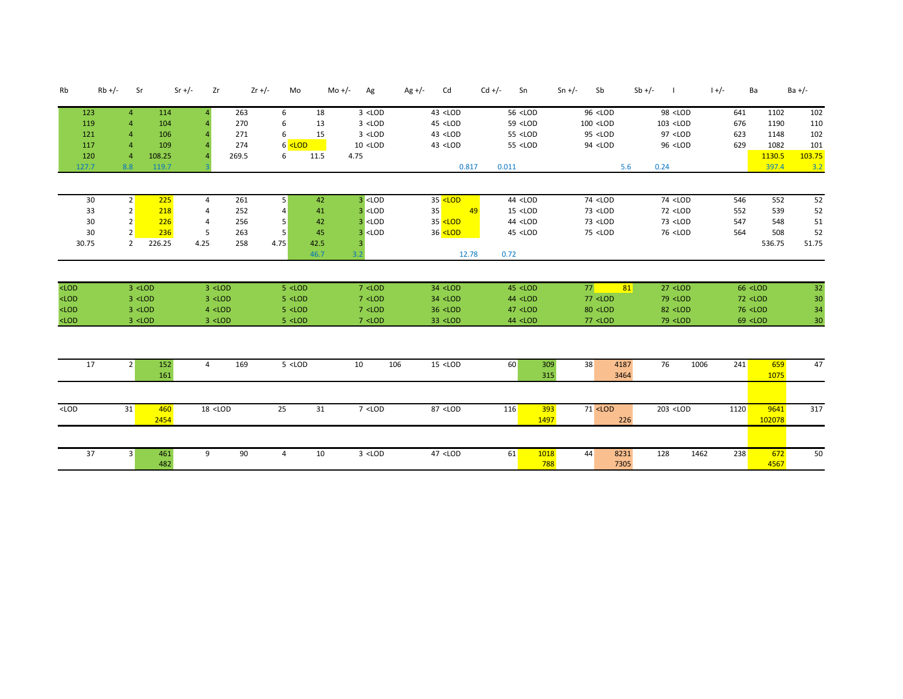| Rb                            | $Rb +/-$<br>Sr                                                                                                                                                                                                                                                                                                                                                                                                                                                                                                                                                                                                                                                                                                                                                                                                                                                                                                                                   |             | $Sr +/-$<br>Zr                                                                                                                                                                                                                                                                                                                                                                                                                                                                                                                                                                                                                                                                                                                                                                                                               | $Zr +/-$ | Mo                                                                                                                                                                                                                                                                                                                                                                                                                                                                                                                                                                                                                                                                                                       |      | Mo +/-<br>Ag                                                                                                                                                                                                                                                                                                                                                                                                                                                                                                                                                                         | $Ag +/-$<br>Cd                                                                                                                                                                                                                                                                                                                                                                                                                                                            | $Cd +/-$<br>Sn                                                                                                                                                                                                                                                                                                                                                                        | $Sn +/-$<br>Sb                                                                                                                                                                                                                                                                                              | $Sb$ +/-     | - 1                                                                                                                                                                                                                          | $1 +/-$ | Ba                                                                                                                              | $Ba +/-$                    |
|-------------------------------|--------------------------------------------------------------------------------------------------------------------------------------------------------------------------------------------------------------------------------------------------------------------------------------------------------------------------------------------------------------------------------------------------------------------------------------------------------------------------------------------------------------------------------------------------------------------------------------------------------------------------------------------------------------------------------------------------------------------------------------------------------------------------------------------------------------------------------------------------------------------------------------------------------------------------------------------------|-------------|------------------------------------------------------------------------------------------------------------------------------------------------------------------------------------------------------------------------------------------------------------------------------------------------------------------------------------------------------------------------------------------------------------------------------------------------------------------------------------------------------------------------------------------------------------------------------------------------------------------------------------------------------------------------------------------------------------------------------------------------------------------------------------------------------------------------------|----------|----------------------------------------------------------------------------------------------------------------------------------------------------------------------------------------------------------------------------------------------------------------------------------------------------------------------------------------------------------------------------------------------------------------------------------------------------------------------------------------------------------------------------------------------------------------------------------------------------------------------------------------------------------------------------------------------------------|------|--------------------------------------------------------------------------------------------------------------------------------------------------------------------------------------------------------------------------------------------------------------------------------------------------------------------------------------------------------------------------------------------------------------------------------------------------------------------------------------------------------------------------------------------------------------------------------------|---------------------------------------------------------------------------------------------------------------------------------------------------------------------------------------------------------------------------------------------------------------------------------------------------------------------------------------------------------------------------------------------------------------------------------------------------------------------------|---------------------------------------------------------------------------------------------------------------------------------------------------------------------------------------------------------------------------------------------------------------------------------------------------------------------------------------------------------------------------------------|-------------------------------------------------------------------------------------------------------------------------------------------------------------------------------------------------------------------------------------------------------------------------------------------------------------|--------------|------------------------------------------------------------------------------------------------------------------------------------------------------------------------------------------------------------------------------|---------|---------------------------------------------------------------------------------------------------------------------------------|-----------------------------|
| 123                           | 4                                                                                                                                                                                                                                                                                                                                                                                                                                                                                                                                                                                                                                                                                                                                                                                                                                                                                                                                                | 114         | Δ.                                                                                                                                                                                                                                                                                                                                                                                                                                                                                                                                                                                                                                                                                                                                                                                                                           | 263      | 6                                                                                                                                                                                                                                                                                                                                                                                                                                                                                                                                                                                                                                                                                                        | 18   | $3$ <lod< td=""><td>43 <lod< td=""><td><math>56</math> <lod< td=""><td>96 <lod< td=""><td></td><td>98 <lod< td=""><td>641</td><td>1102</td><td>102</td></lod<></td></lod<></td></lod<></td></lod<></td></lod<>                                                                                                                                                                                                                                                                                                                                                                       | 43 <lod< td=""><td><math>56</math> <lod< td=""><td>96 <lod< td=""><td></td><td>98 <lod< td=""><td>641</td><td>1102</td><td>102</td></lod<></td></lod<></td></lod<></td></lod<>                                                                                                                                                                                                                                                                                            | $56$ <lod< td=""><td>96 <lod< td=""><td></td><td>98 <lod< td=""><td>641</td><td>1102</td><td>102</td></lod<></td></lod<></td></lod<>                                                                                                                                                                                                                                                  | 96 <lod< td=""><td></td><td>98 <lod< td=""><td>641</td><td>1102</td><td>102</td></lod<></td></lod<>                                                                                                                                                                                                         |              | 98 <lod< td=""><td>641</td><td>1102</td><td>102</td></lod<>                                                                                                                                                                  | 641     | 1102                                                                                                                            | 102                         |
| 119                           | $\overline{4}$                                                                                                                                                                                                                                                                                                                                                                                                                                                                                                                                                                                                                                                                                                                                                                                                                                                                                                                                   | 104         |                                                                                                                                                                                                                                                                                                                                                                                                                                                                                                                                                                                                                                                                                                                                                                                                                              | 270      | 6                                                                                                                                                                                                                                                                                                                                                                                                                                                                                                                                                                                                                                                                                                        | 13   | $3$ <lod< td=""><td>45 <lod< td=""><td>59 <lod< td=""><td><math>100</math> <lod< td=""><td></td><td>103 <lod< td=""><td>676</td><td>1190</td><td>110</td></lod<></td></lod<></td></lod<></td></lod<></td></lod<>                                                                                                                                                                                                                                                                                                                                                                     | 45 <lod< td=""><td>59 <lod< td=""><td><math>100</math> <lod< td=""><td></td><td>103 <lod< td=""><td>676</td><td>1190</td><td>110</td></lod<></td></lod<></td></lod<></td></lod<>                                                                                                                                                                                                                                                                                          | 59 <lod< td=""><td><math>100</math> <lod< td=""><td></td><td>103 <lod< td=""><td>676</td><td>1190</td><td>110</td></lod<></td></lod<></td></lod<>                                                                                                                                                                                                                                     | $100$ <lod< td=""><td></td><td>103 <lod< td=""><td>676</td><td>1190</td><td>110</td></lod<></td></lod<>                                                                                                                                                                                                     |              | 103 <lod< td=""><td>676</td><td>1190</td><td>110</td></lod<>                                                                                                                                                                 | 676     | 1190                                                                                                                            | 110                         |
| 121                           | $\overline{a}$                                                                                                                                                                                                                                                                                                                                                                                                                                                                                                                                                                                                                                                                                                                                                                                                                                                                                                                                   | 106         |                                                                                                                                                                                                                                                                                                                                                                                                                                                                                                                                                                                                                                                                                                                                                                                                                              | 271      | 6                                                                                                                                                                                                                                                                                                                                                                                                                                                                                                                                                                                                                                                                                                        | 15   | $3$ <lod< td=""><td>43 <lod< td=""><td><math>55</math> <lod< td=""><td>95 <lod< td=""><td></td><td>97 <lod< td=""><td>623</td><td>1148</td><td>102</td></lod<></td></lod<></td></lod<></td></lod<></td></lod<>                                                                                                                                                                                                                                                                                                                                                                       | 43 <lod< td=""><td><math>55</math> <lod< td=""><td>95 <lod< td=""><td></td><td>97 <lod< td=""><td>623</td><td>1148</td><td>102</td></lod<></td></lod<></td></lod<></td></lod<>                                                                                                                                                                                                                                                                                            | $55$ <lod< td=""><td>95 <lod< td=""><td></td><td>97 <lod< td=""><td>623</td><td>1148</td><td>102</td></lod<></td></lod<></td></lod<>                                                                                                                                                                                                                                                  | 95 <lod< td=""><td></td><td>97 <lod< td=""><td>623</td><td>1148</td><td>102</td></lod<></td></lod<>                                                                                                                                                                                                         |              | 97 <lod< td=""><td>623</td><td>1148</td><td>102</td></lod<>                                                                                                                                                                  | 623     | 1148                                                                                                                            | 102                         |
| 117                           | $\overline{a}$                                                                                                                                                                                                                                                                                                                                                                                                                                                                                                                                                                                                                                                                                                                                                                                                                                                                                                                                   | 109         |                                                                                                                                                                                                                                                                                                                                                                                                                                                                                                                                                                                                                                                                                                                                                                                                                              | 274      | $6$ <lod< td=""><td></td><td><math>10</math> <lod< td=""><td><math>43</math> <lod< td=""><td><math>55</math> <lod< td=""><td>94 <lod< td=""><td></td><td>96 <lod< td=""><td>629</td><td>1082</td><td>101</td></lod<></td></lod<></td></lod<></td></lod<></td></lod<></td></lod<>                                                                                                                                                                                                                                                                                                                                                                                                                         |      | $10$ <lod< td=""><td><math>43</math> <lod< td=""><td><math>55</math> <lod< td=""><td>94 <lod< td=""><td></td><td>96 <lod< td=""><td>629</td><td>1082</td><td>101</td></lod<></td></lod<></td></lod<></td></lod<></td></lod<>                                                                                                                                                                                                                                                                                                                                                         | $43$ <lod< td=""><td><math>55</math> <lod< td=""><td>94 <lod< td=""><td></td><td>96 <lod< td=""><td>629</td><td>1082</td><td>101</td></lod<></td></lod<></td></lod<></td></lod<>                                                                                                                                                                                                                                                                                          | $55$ <lod< td=""><td>94 <lod< td=""><td></td><td>96 <lod< td=""><td>629</td><td>1082</td><td>101</td></lod<></td></lod<></td></lod<>                                                                                                                                                                                                                                                  | 94 <lod< td=""><td></td><td>96 <lod< td=""><td>629</td><td>1082</td><td>101</td></lod<></td></lod<>                                                                                                                                                                                                         |              | 96 <lod< td=""><td>629</td><td>1082</td><td>101</td></lod<>                                                                                                                                                                  | 629     | 1082                                                                                                                            | 101                         |
| 120                           | $\overline{a}$                                                                                                                                                                                                                                                                                                                                                                                                                                                                                                                                                                                                                                                                                                                                                                                                                                                                                                                                   | 108.25      |                                                                                                                                                                                                                                                                                                                                                                                                                                                                                                                                                                                                                                                                                                                                                                                                                              | 269.5    | 6                                                                                                                                                                                                                                                                                                                                                                                                                                                                                                                                                                                                                                                                                                        | 11.5 | 4.75                                                                                                                                                                                                                                                                                                                                                                                                                                                                                                                                                                                 |                                                                                                                                                                                                                                                                                                                                                                                                                                                                           |                                                                                                                                                                                                                                                                                                                                                                                       |                                                                                                                                                                                                                                                                                                             |              |                                                                                                                                                                                                                              |         | 1130.5                                                                                                                          | 103.75                      |
| 127.7                         | 8.8                                                                                                                                                                                                                                                                                                                                                                                                                                                                                                                                                                                                                                                                                                                                                                                                                                                                                                                                              | 119.7       |                                                                                                                                                                                                                                                                                                                                                                                                                                                                                                                                                                                                                                                                                                                                                                                                                              |          |                                                                                                                                                                                                                                                                                                                                                                                                                                                                                                                                                                                                                                                                                                          |      |                                                                                                                                                                                                                                                                                                                                                                                                                                                                                                                                                                                      | 0.817                                                                                                                                                                                                                                                                                                                                                                                                                                                                     | 0.011                                                                                                                                                                                                                                                                                                                                                                                 |                                                                                                                                                                                                                                                                                                             | 5.6          | 0.24                                                                                                                                                                                                                         |         | 397.4                                                                                                                           | 3.2                         |
| 30                            | 2                                                                                                                                                                                                                                                                                                                                                                                                                                                                                                                                                                                                                                                                                                                                                                                                                                                                                                                                                | 225         | $\overline{4}$                                                                                                                                                                                                                                                                                                                                                                                                                                                                                                                                                                                                                                                                                                                                                                                                               | 261      | 5 <sup>1</sup>                                                                                                                                                                                                                                                                                                                                                                                                                                                                                                                                                                                                                                                                                           | 42   | $3$ <lod< td=""><td>35 <lod< td=""><td><math>44</math> <lod< td=""><td>74 <lod< td=""><td></td><td>74 <lod< td=""><td>546</td><td>552</td><td>52</td></lod<></td></lod<></td></lod<></td></lod<></td></lod<>                                                                                                                                                                                                                                                                                                                                                                         | 35 <lod< td=""><td><math>44</math> <lod< td=""><td>74 <lod< td=""><td></td><td>74 <lod< td=""><td>546</td><td>552</td><td>52</td></lod<></td></lod<></td></lod<></td></lod<>                                                                                                                                                                                                                                                                                              | $44$ <lod< td=""><td>74 <lod< td=""><td></td><td>74 <lod< td=""><td>546</td><td>552</td><td>52</td></lod<></td></lod<></td></lod<>                                                                                                                                                                                                                                                    | 74 <lod< td=""><td></td><td>74 <lod< td=""><td>546</td><td>552</td><td>52</td></lod<></td></lod<>                                                                                                                                                                                                           |              | 74 <lod< td=""><td>546</td><td>552</td><td>52</td></lod<>                                                                                                                                                                    | 546     | 552                                                                                                                             | 52                          |
| 33                            | 2                                                                                                                                                                                                                                                                                                                                                                                                                                                                                                                                                                                                                                                                                                                                                                                                                                                                                                                                                | 218         | 4                                                                                                                                                                                                                                                                                                                                                                                                                                                                                                                                                                                                                                                                                                                                                                                                                            | 252      |                                                                                                                                                                                                                                                                                                                                                                                                                                                                                                                                                                                                                                                                                                          | 41   | $3$ <lod< td=""><td>35<br/>49</td><td><math>15</math> <lod< td=""><td>73 <lod< td=""><td></td><td>72 <lod< td=""><td>552</td><td>539</td><td>52</td></lod<></td></lod<></td></lod<></td></lod<>                                                                                                                                                                                                                                                                                                                                                                                      | 35<br>49                                                                                                                                                                                                                                                                                                                                                                                                                                                                  | $15$ <lod< td=""><td>73 <lod< td=""><td></td><td>72 <lod< td=""><td>552</td><td>539</td><td>52</td></lod<></td></lod<></td></lod<>                                                                                                                                                                                                                                                    | 73 <lod< td=""><td></td><td>72 <lod< td=""><td>552</td><td>539</td><td>52</td></lod<></td></lod<>                                                                                                                                                                                                           |              | 72 <lod< td=""><td>552</td><td>539</td><td>52</td></lod<>                                                                                                                                                                    | 552     | 539                                                                                                                             | 52                          |
| 30                            | 2                                                                                                                                                                                                                                                                                                                                                                                                                                                                                                                                                                                                                                                                                                                                                                                                                                                                                                                                                | 226         | 4                                                                                                                                                                                                                                                                                                                                                                                                                                                                                                                                                                                                                                                                                                                                                                                                                            | 256      | 5                                                                                                                                                                                                                                                                                                                                                                                                                                                                                                                                                                                                                                                                                                        | 42   | $3$ <lod< td=""><td>35 <lod< td=""><td>44 <lod< td=""><td>73 <lod< td=""><td></td><td>73 <lod< td=""><td>547</td><td>548</td><td>51</td></lod<></td></lod<></td></lod<></td></lod<></td></lod<>                                                                                                                                                                                                                                                                                                                                                                                      | 35 <lod< td=""><td>44 <lod< td=""><td>73 <lod< td=""><td></td><td>73 <lod< td=""><td>547</td><td>548</td><td>51</td></lod<></td></lod<></td></lod<></td></lod<>                                                                                                                                                                                                                                                                                                           | 44 <lod< td=""><td>73 <lod< td=""><td></td><td>73 <lod< td=""><td>547</td><td>548</td><td>51</td></lod<></td></lod<></td></lod<>                                                                                                                                                                                                                                                      | 73 <lod< td=""><td></td><td>73 <lod< td=""><td>547</td><td>548</td><td>51</td></lod<></td></lod<>                                                                                                                                                                                                           |              | 73 <lod< td=""><td>547</td><td>548</td><td>51</td></lod<>                                                                                                                                                                    | 547     | 548                                                                                                                             | 51                          |
| 30                            |                                                                                                                                                                                                                                                                                                                                                                                                                                                                                                                                                                                                                                                                                                                                                                                                                                                                                                                                                  | 236         | 5                                                                                                                                                                                                                                                                                                                                                                                                                                                                                                                                                                                                                                                                                                                                                                                                                            | 263      | 5                                                                                                                                                                                                                                                                                                                                                                                                                                                                                                                                                                                                                                                                                                        | 45   | $3$ <lod< td=""><td>36 <lod< td=""><td>45 <lod< td=""><td>75 <lod< td=""><td></td><td>76 <lod< td=""><td>564</td><td>508</td><td>52</td></lod<></td></lod<></td></lod<></td></lod<></td></lod<>                                                                                                                                                                                                                                                                                                                                                                                      | 36 <lod< td=""><td>45 <lod< td=""><td>75 <lod< td=""><td></td><td>76 <lod< td=""><td>564</td><td>508</td><td>52</td></lod<></td></lod<></td></lod<></td></lod<>                                                                                                                                                                                                                                                                                                           | 45 <lod< td=""><td>75 <lod< td=""><td></td><td>76 <lod< td=""><td>564</td><td>508</td><td>52</td></lod<></td></lod<></td></lod<>                                                                                                                                                                                                                                                      | 75 <lod< td=""><td></td><td>76 <lod< td=""><td>564</td><td>508</td><td>52</td></lod<></td></lod<>                                                                                                                                                                                                           |              | 76 <lod< td=""><td>564</td><td>508</td><td>52</td></lod<>                                                                                                                                                                    | 564     | 508                                                                                                                             | 52                          |
| 30.75                         | $\overline{2}$                                                                                                                                                                                                                                                                                                                                                                                                                                                                                                                                                                                                                                                                                                                                                                                                                                                                                                                                   | 226.25      | 4.25                                                                                                                                                                                                                                                                                                                                                                                                                                                                                                                                                                                                                                                                                                                                                                                                                         | 258      | 4.75                                                                                                                                                                                                                                                                                                                                                                                                                                                                                                                                                                                                                                                                                                     | 42.5 |                                                                                                                                                                                                                                                                                                                                                                                                                                                                                                                                                                                      |                                                                                                                                                                                                                                                                                                                                                                                                                                                                           |                                                                                                                                                                                                                                                                                                                                                                                       |                                                                                                                                                                                                                                                                                                             |              |                                                                                                                                                                                                                              |         | 536.75                                                                                                                          | 51.75                       |
|                               |                                                                                                                                                                                                                                                                                                                                                                                                                                                                                                                                                                                                                                                                                                                                                                                                                                                                                                                                                  |             |                                                                                                                                                                                                                                                                                                                                                                                                                                                                                                                                                                                                                                                                                                                                                                                                                              |          |                                                                                                                                                                                                                                                                                                                                                                                                                                                                                                                                                                                                                                                                                                          | 46.7 |                                                                                                                                                                                                                                                                                                                                                                                                                                                                                                                                                                                      | 12.78                                                                                                                                                                                                                                                                                                                                                                                                                                                                     | 0.72                                                                                                                                                                                                                                                                                                                                                                                  |                                                                                                                                                                                                                                                                                                             |              |                                                                                                                                                                                                                              |         |                                                                                                                                 |                             |
| $<$ LOD<br>$<$ LOD<br>$<$ LOD | $3$ <lod<br><math>3</math> <lod<br><math>3</math> <lod< th=""><th></th><th><math>3</math> <lod<br><math>3</math> <lod<br><math>4</math> <lod< th=""><th></th><th><math>5</math> <lod<br><math>5</math> <lod<br><math>5</math> <lod< th=""><th></th><th><math>7</math> <lod<br><math>7</math> <lod<br><math>7</math> <lod< th=""><th><math>34</math> <lod<br>34 <lod<br>36 <lod< th=""><th><math>45</math> <lod<br>44 <lod<br>47 <lod< th=""><th>77<br/>77 <lod<br>80 <lod< th=""><th>81</th><th><math>27</math> <lod<br>79 <lod<br>82 <lod< th=""><th></th><th><math>66</math> <lod<br><math>72</math> <lod<br><math>76</math> <lod< th=""><th>32<br/>30<sub>o</sub><br/>34</th></lod<></lod<br></lod<br></th></lod<></lod<br></lod<br></th></lod<></lod<br></th></lod<></lod<br></lod<br></th></lod<></lod<br></lod<br></th></lod<></lod<br></lod<br></th></lod<></lod<br></lod<br></th></lod<></lod<br></lod<br></th></lod<></lod<br></lod<br> |             | $3$ <lod<br><math>3</math> <lod<br><math>4</math> <lod< th=""><th></th><th><math>5</math> <lod<br><math>5</math> <lod<br><math>5</math> <lod< th=""><th></th><th><math>7</math> <lod<br><math>7</math> <lod<br><math>7</math> <lod< th=""><th><math>34</math> <lod<br>34 <lod<br>36 <lod< th=""><th><math>45</math> <lod<br>44 <lod<br>47 <lod< th=""><th>77<br/>77 <lod<br>80 <lod< th=""><th>81</th><th><math>27</math> <lod<br>79 <lod<br>82 <lod< th=""><th></th><th><math>66</math> <lod<br><math>72</math> <lod<br><math>76</math> <lod< th=""><th>32<br/>30<sub>o</sub><br/>34</th></lod<></lod<br></lod<br></th></lod<></lod<br></lod<br></th></lod<></lod<br></th></lod<></lod<br></lod<br></th></lod<></lod<br></lod<br></th></lod<></lod<br></lod<br></th></lod<></lod<br></lod<br></th></lod<></lod<br></lod<br> |          | $5$ <lod<br><math>5</math> <lod<br><math>5</math> <lod< th=""><th></th><th><math>7</math> <lod<br><math>7</math> <lod<br><math>7</math> <lod< th=""><th><math>34</math> <lod<br>34 <lod<br>36 <lod< th=""><th><math>45</math> <lod<br>44 <lod<br>47 <lod< th=""><th>77<br/>77 <lod<br>80 <lod< th=""><th>81</th><th><math>27</math> <lod<br>79 <lod<br>82 <lod< th=""><th></th><th><math>66</math> <lod<br><math>72</math> <lod<br><math>76</math> <lod< th=""><th>32<br/>30<sub>o</sub><br/>34</th></lod<></lod<br></lod<br></th></lod<></lod<br></lod<br></th></lod<></lod<br></th></lod<></lod<br></lod<br></th></lod<></lod<br></lod<br></th></lod<></lod<br></lod<br></th></lod<></lod<br></lod<br> |      | $7$ <lod<br><math>7</math> <lod<br><math>7</math> <lod< th=""><th><math>34</math> <lod<br>34 <lod<br>36 <lod< th=""><th><math>45</math> <lod<br>44 <lod<br>47 <lod< th=""><th>77<br/>77 <lod<br>80 <lod< th=""><th>81</th><th><math>27</math> <lod<br>79 <lod<br>82 <lod< th=""><th></th><th><math>66</math> <lod<br><math>72</math> <lod<br><math>76</math> <lod< th=""><th>32<br/>30<sub>o</sub><br/>34</th></lod<></lod<br></lod<br></th></lod<></lod<br></lod<br></th></lod<></lod<br></th></lod<></lod<br></lod<br></th></lod<></lod<br></lod<br></th></lod<></lod<br></lod<br> | $34$ <lod<br>34 <lod<br>36 <lod< th=""><th><math>45</math> <lod<br>44 <lod<br>47 <lod< th=""><th>77<br/>77 <lod<br>80 <lod< th=""><th>81</th><th><math>27</math> <lod<br>79 <lod<br>82 <lod< th=""><th></th><th><math>66</math> <lod<br><math>72</math> <lod<br><math>76</math> <lod< th=""><th>32<br/>30<sub>o</sub><br/>34</th></lod<></lod<br></lod<br></th></lod<></lod<br></lod<br></th></lod<></lod<br></th></lod<></lod<br></lod<br></th></lod<></lod<br></lod<br> | $45$ <lod<br>44 <lod<br>47 <lod< th=""><th>77<br/>77 <lod<br>80 <lod< th=""><th>81</th><th><math>27</math> <lod<br>79 <lod<br>82 <lod< th=""><th></th><th><math>66</math> <lod<br><math>72</math> <lod<br><math>76</math> <lod< th=""><th>32<br/>30<sub>o</sub><br/>34</th></lod<></lod<br></lod<br></th></lod<></lod<br></lod<br></th></lod<></lod<br></th></lod<></lod<br></lod<br> | 77<br>77 <lod<br>80 <lod< th=""><th>81</th><th><math>27</math> <lod<br>79 <lod<br>82 <lod< th=""><th></th><th><math>66</math> <lod<br><math>72</math> <lod<br><math>76</math> <lod< th=""><th>32<br/>30<sub>o</sub><br/>34</th></lod<></lod<br></lod<br></th></lod<></lod<br></lod<br></th></lod<></lod<br> | 81           | $27$ <lod<br>79 <lod<br>82 <lod< th=""><th></th><th><math>66</math> <lod<br><math>72</math> <lod<br><math>76</math> <lod< th=""><th>32<br/>30<sub>o</sub><br/>34</th></lod<></lod<br></lod<br></th></lod<></lod<br></lod<br> |         | $66$ <lod<br><math>72</math> <lod<br><math>76</math> <lod< th=""><th>32<br/>30<sub>o</sub><br/>34</th></lod<></lod<br></lod<br> | 32<br>30 <sub>o</sub><br>34 |
| $<$ LOD                       | $3$ <lod< td=""><td></td><td><math>3</math> <lod< td=""><td></td><td><math>5</math> &lt; LOD</td><td></td><td><math>7</math> <lod< td=""><td>33 <lod< td=""><td>44 <lod< td=""><td><math>77</math> <lod< td=""><td></td><td>79 <lod< td=""><td></td><td>69 <lod< td=""><td>30</td></lod<></td></lod<></td></lod<></td></lod<></td></lod<></td></lod<></td></lod<></td></lod<>                                                                                                                                                                                                                                                                                                                                                                                                                                                                                                                                                                    |             | $3$ <lod< td=""><td></td><td><math>5</math> &lt; LOD</td><td></td><td><math>7</math> <lod< td=""><td>33 <lod< td=""><td>44 <lod< td=""><td><math>77</math> <lod< td=""><td></td><td>79 <lod< td=""><td></td><td>69 <lod< td=""><td>30</td></lod<></td></lod<></td></lod<></td></lod<></td></lod<></td></lod<></td></lod<>                                                                                                                                                                                                                                                                                                                                                                                                                                                                                                    |          | $5$ < LOD                                                                                                                                                                                                                                                                                                                                                                                                                                                                                                                                                                                                                                                                                                |      | $7$ <lod< td=""><td>33 <lod< td=""><td>44 <lod< td=""><td><math>77</math> <lod< td=""><td></td><td>79 <lod< td=""><td></td><td>69 <lod< td=""><td>30</td></lod<></td></lod<></td></lod<></td></lod<></td></lod<></td></lod<>                                                                                                                                                                                                                                                                                                                                                         | 33 <lod< td=""><td>44 <lod< td=""><td><math>77</math> <lod< td=""><td></td><td>79 <lod< td=""><td></td><td>69 <lod< td=""><td>30</td></lod<></td></lod<></td></lod<></td></lod<></td></lod<>                                                                                                                                                                                                                                                                              | 44 <lod< td=""><td><math>77</math> <lod< td=""><td></td><td>79 <lod< td=""><td></td><td>69 <lod< td=""><td>30</td></lod<></td></lod<></td></lod<></td></lod<>                                                                                                                                                                                                                         | $77$ <lod< td=""><td></td><td>79 <lod< td=""><td></td><td>69 <lod< td=""><td>30</td></lod<></td></lod<></td></lod<>                                                                                                                                                                                         |              | 79 <lod< td=""><td></td><td>69 <lod< td=""><td>30</td></lod<></td></lod<>                                                                                                                                                    |         | 69 <lod< td=""><td>30</td></lod<>                                                                                               | 30                          |
| 17                            | 2 <sup>1</sup>                                                                                                                                                                                                                                                                                                                                                                                                                                                                                                                                                                                                                                                                                                                                                                                                                                                                                                                                   | 152<br>161  | $\overline{4}$                                                                                                                                                                                                                                                                                                                                                                                                                                                                                                                                                                                                                                                                                                                                                                                                               | 169      | $5$ <lod< th=""><th></th><th>10<br/>106</th><th><math>15</math> <lod< th=""><th>60</th><th>309<br/>38<br/>315</th><th>4187<br/>3464</th><th>76<br/>1006</th><th>241</th><th>659<br/>1075</th><th>47</th></lod<></th></lod<>                                                                                                                                                                                                                                                                                                                                                                                                                                                                              |      | 10<br>106                                                                                                                                                                                                                                                                                                                                                                                                                                                                                                                                                                            | $15$ <lod< th=""><th>60</th><th>309<br/>38<br/>315</th><th>4187<br/>3464</th><th>76<br/>1006</th><th>241</th><th>659<br/>1075</th><th>47</th></lod<>                                                                                                                                                                                                                                                                                                                      | 60                                                                                                                                                                                                                                                                                                                                                                                    | 309<br>38<br>315                                                                                                                                                                                                                                                                                            | 4187<br>3464 | 76<br>1006                                                                                                                                                                                                                   | 241     | 659<br>1075                                                                                                                     | 47                          |
|                               |                                                                                                                                                                                                                                                                                                                                                                                                                                                                                                                                                                                                                                                                                                                                                                                                                                                                                                                                                  |             |                                                                                                                                                                                                                                                                                                                                                                                                                                                                                                                                                                                                                                                                                                                                                                                                                              |          |                                                                                                                                                                                                                                                                                                                                                                                                                                                                                                                                                                                                                                                                                                          |      |                                                                                                                                                                                                                                                                                                                                                                                                                                                                                                                                                                                      |                                                                                                                                                                                                                                                                                                                                                                                                                                                                           |                                                                                                                                                                                                                                                                                                                                                                                       |                                                                                                                                                                                                                                                                                                             |              |                                                                                                                                                                                                                              |         |                                                                                                                                 |                             |
|                               |                                                                                                                                                                                                                                                                                                                                                                                                                                                                                                                                                                                                                                                                                                                                                                                                                                                                                                                                                  |             |                                                                                                                                                                                                                                                                                                                                                                                                                                                                                                                                                                                                                                                                                                                                                                                                                              |          |                                                                                                                                                                                                                                                                                                                                                                                                                                                                                                                                                                                                                                                                                                          |      |                                                                                                                                                                                                                                                                                                                                                                                                                                                                                                                                                                                      |                                                                                                                                                                                                                                                                                                                                                                                                                                                                           |                                                                                                                                                                                                                                                                                                                                                                                       |                                                                                                                                                                                                                                                                                                             |              |                                                                                                                                                                                                                              |         |                                                                                                                                 |                             |
| $<$ LOD                       | 31                                                                                                                                                                                                                                                                                                                                                                                                                                                                                                                                                                                                                                                                                                                                                                                                                                                                                                                                               | 460<br>2454 | $18$ <lod< td=""><td></td><td>25</td><td>31</td><td><math>7</math> &lt; LOD</td><td>87 <lod< td=""><td>116</td><td><math>71</math> <lod<br>393<br/>1497</lod<br></td><td>226</td><td>203 <lod< td=""><td>1120</td><td>9641<br/>102078</td><td>317</td></lod<></td></lod<></td></lod<>                                                                                                                                                                                                                                                                                                                                                                                                                                                                                                                                        |          | 25                                                                                                                                                                                                                                                                                                                                                                                                                                                                                                                                                                                                                                                                                                       | 31   | $7$ < LOD                                                                                                                                                                                                                                                                                                                                                                                                                                                                                                                                                                            | 87 <lod< td=""><td>116</td><td><math>71</math> <lod<br>393<br/>1497</lod<br></td><td>226</td><td>203 <lod< td=""><td>1120</td><td>9641<br/>102078</td><td>317</td></lod<></td></lod<>                                                                                                                                                                                                                                                                                     | 116                                                                                                                                                                                                                                                                                                                                                                                   | $71$ <lod<br>393<br/>1497</lod<br>                                                                                                                                                                                                                                                                          | 226          | 203 <lod< td=""><td>1120</td><td>9641<br/>102078</td><td>317</td></lod<>                                                                                                                                                     | 1120    | 9641<br>102078                                                                                                                  | 317                         |